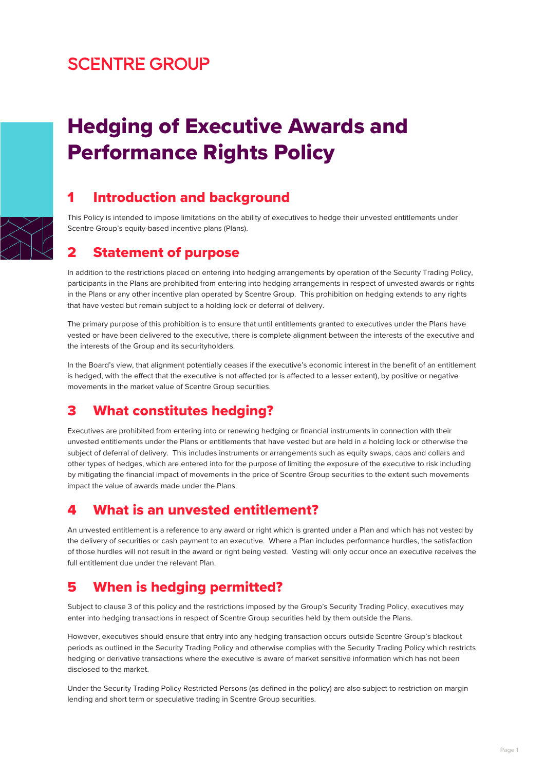## **SCENTRE GROUP**



# Hedging of Executive Awards and Performance Rights Policy

#### 1 Introduction and background

This Policy is intended to impose limitations on the ability of executives to hedge their unvested entitlements under Scentre Group's equity-based incentive plans (Plans).

#### 2 Statement of purpose

In addition to the restrictions placed on entering into hedging arrangements by operation of the Security Trading Policy, participants in the Plans are prohibited from entering into hedging arrangements in respect of unvested awards or rights in the Plans or any other incentive plan operated by Scentre Group. This prohibition on hedging extends to any rights that have vested but remain subject to a holding lock or deferral of delivery.

The primary purpose of this prohibition is to ensure that until entitlements granted to executives under the Plans have vested or have been delivered to the executive, there is complete alignment between the interests of the executive and the interests of the Group and its securityholders.

In the Board's view, that alignment potentially ceases if the executive's economic interest in the benefit of an entitlement is hedged, with the effect that the executive is not affected (or is affected to a lesser extent), by positive or negative movements in the market value of Scentre Group securities.

### 3 What constitutes hedging?

Executives are prohibited from entering into or renewing hedging or financial instruments in connection with their unvested entitlements under the Plans or entitlements that have vested but are held in a holding lock or otherwise the subject of deferral of delivery. This includes instruments or arrangements such as equity swaps, caps and collars and other types of hedges, which are entered into for the purpose of limiting the exposure of the executive to risk including by mitigating the financial impact of movements in the price of Scentre Group securities to the extent such movements impact the value of awards made under the Plans.

### 4 What is an unvested entitlement?

An unvested entitlement is a reference to any award or right which is granted under a Plan and which has not vested by the delivery of securities or cash payment to an executive. Where a Plan includes performance hurdles, the satisfaction of those hurdles will not result in the award or right being vested. Vesting will only occur once an executive receives the full entitlement due under the relevant Plan.

### 5 When is hedging permitted?

Subject to clause 3 of this policy and the restrictions imposed by the Group's Security Trading Policy, executives may enter into hedging transactions in respect of Scentre Group securities held by them outside the Plans.

However, executives should ensure that entry into any hedging transaction occurs outside Scentre Group's blackout periods as outlined in the Security Trading Policy and otherwise complies with the Security Trading Policy which restricts hedging or derivative transactions where the executive is aware of market sensitive information which has not been disclosed to the market.

Under the Security Trading Policy Restricted Persons (as defined in the policy) are also subject to restriction on margin lending and short term or speculative trading in Scentre Group securities.